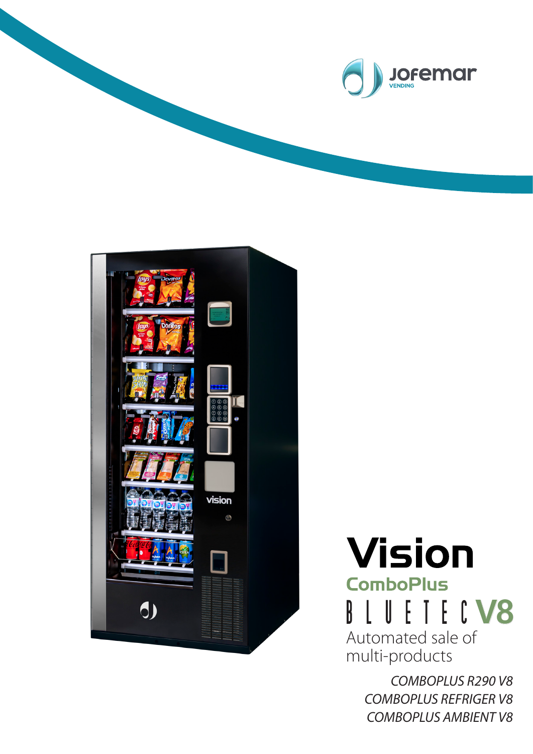



**Vision ComboPlus BLUETECV8** Automated sale of multi-products

> *COMBOPLUS R290 V8 COMBOPLUS REFRIGER V8 COMBOPLUS AMBIENT V8*